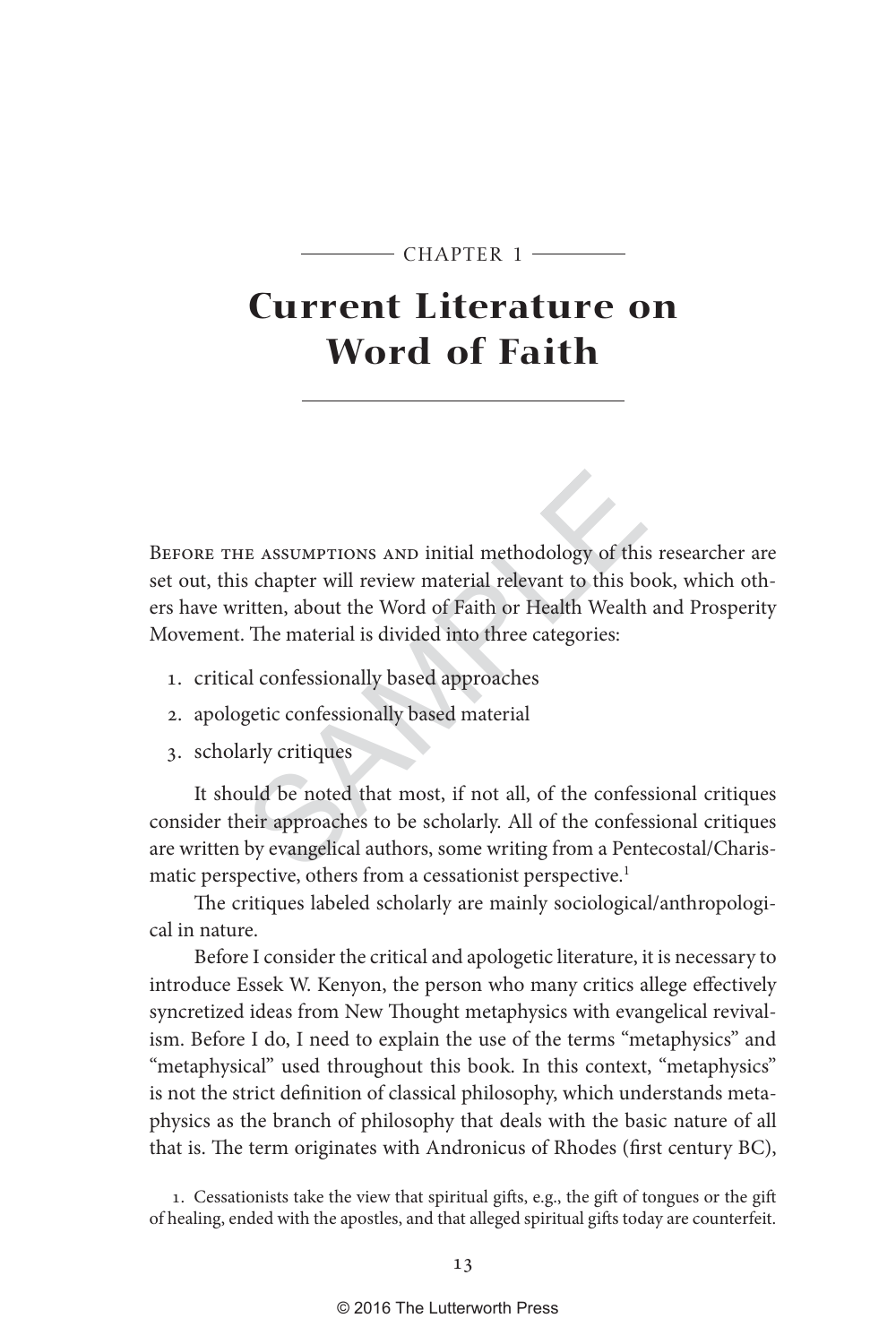#### $-$  CHAPTER 1  $-$

# **Current Literature on Word of Faith**

E ASSUMPTIONS AND initial methodology of this<br>s chapter will review material relevant to this bout<br>then, about the Word of Faith or Health Wealth<br>. The material is divided into three categories:<br>al confessionally based app BEFORE THE ASSUMPTIONS AND initial methodology of this researcher are set out, this chapter will review material relevant to this book, which others have written, about the Word of Faith or Health Wealth and Prosperity Movement. The material is divided into three categories:

- 1. critical confessionally based approaches
- 2. apologetic confessionally based material
- 3. scholarly critiques

It should be noted that most, if not all, of the confessional critiques consider their approaches to be scholarly. All of the confessional critiques are written by evangelical authors, some writing from a Pentecostal/Charismatic perspective, others from a cessationist perspective.<sup>1</sup>

The critiques labeled scholarly are mainly sociological/anthropological in nature.

Before I consider the critical and apologetic literature, it is necessary to introduce Essek W. Kenyon, the person who many critics allege effectively syncretized ideas from New Thought metaphysics with evangelical revivalism. Before I do, I need to explain the use of the terms "metaphysics" and "metaphysical" used throughout this book. In this context, "metaphysics" is not the strict definition of classical philosophy, which understands metaphysics as the branch of philosophy that deals with the basic nature of all that is. The term originates with Andronicus of Rhodes (first century BC),

1. Cessationists take the view that spiritual gifts, e.g., the gift of tongues or the gift of healing, ended with the apostles, and that alleged spiritual gifts today are counterfeit.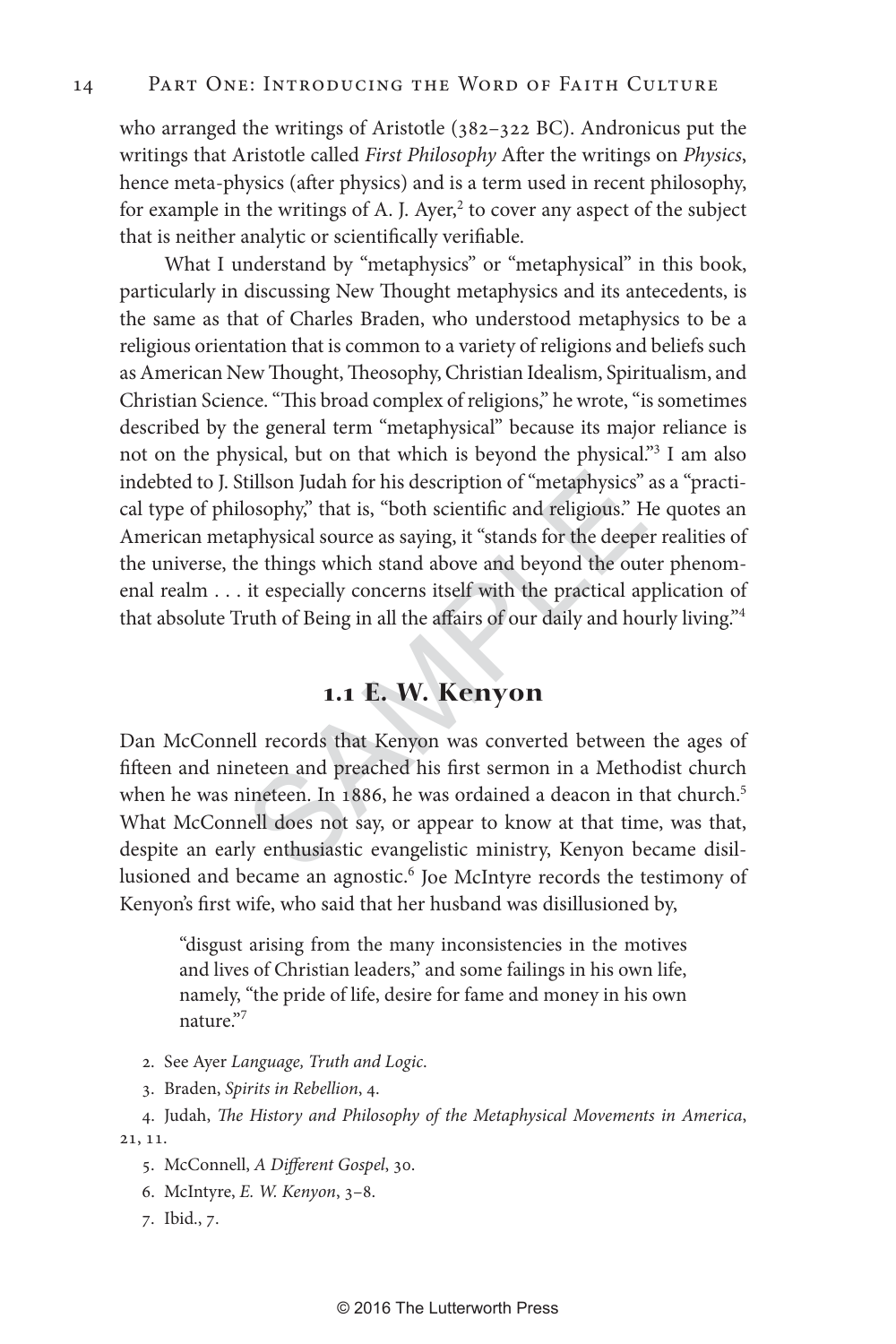who arranged the writings of Aristotle (382–322 BC). Andronicus put the writings that Aristotle called *First Philosophy* After the writings on *Physics*, hence meta-physics (after physics) and is a term used in recent philosophy, for example in the writings of A. J. Ayer,<sup>2</sup> to cover any aspect of the subject that is neither analytic or scientifically verifiable.

tillson Judah for his description of "metaphysics"<br>losophy," that is, "both scientific and religious." H<br>aphysical source as saying, it "stands for the deepe<br>he things which stand above and beyond the out<br>it especially con What I understand by "metaphysics" or "metaphysical" in this book, particularly in discussing New Thought metaphysics and its antecedents, is the same as that of Charles Braden, who understood metaphysics to be a religious orientation that is common to a variety of religions and beliefs such as American New Thought, Theosophy, Christian Idealism, Spiritualism, and Christian Science. "This broad complex of religions," he wrote, "is sometimes described by the general term "metaphysical" because its major reliance is not on the physical, but on that which is beyond the physical."<sup>3</sup> I am also indebted to J. Stillson Judah for his description of "metaphysics" as a "practical type of philosophy," that is, "both scientific and religious." He quotes an American metaphysical source as saying, it "stands for the deeper realities of the universe, the things which stand above and beyond the outer phenomenal realm . . . it especially concerns itself with the practical application of that absolute Truth of Being in all the affairs of our daily and hourly living."4

### **1 . 1 E. W. Kenyon**

Dan McConnell records that Kenyon was converted between the ages of fifteen and nineteen and preached his first sermon in a Methodist church when he was nineteen. In 1886, he was ordained a deacon in that church. 5 What McConnell does not say, or appear to know at that time, was that, despite an early enthusiastic evangelistic ministry, Kenyon became disillusioned and became an agnostic.<sup>6</sup> Joe McIntyre records the testimony of Kenyon's first wife, who said that her husband was disillusioned by,

"disgust arising from the many inconsistencies in the motives and lives of Christian leaders," and some failings in his own life, namely, "the pride of life, desire for fame and money in his own nature."<sup>7</sup>

- 2. See Ayer *Language, Truth and Logic* .
- 3. Braden, *Spirits in Rebellion*, 4.
- 4. Judah, *The History and Philosophy of the Metaphysical Movements in America*, 21, 11.
	- 5. McConnell, *A Different Gospel*, 30.
	- 6. McIntyre, *E. W. Kenyon*, 3–8.
	- 7. Ibid., 7.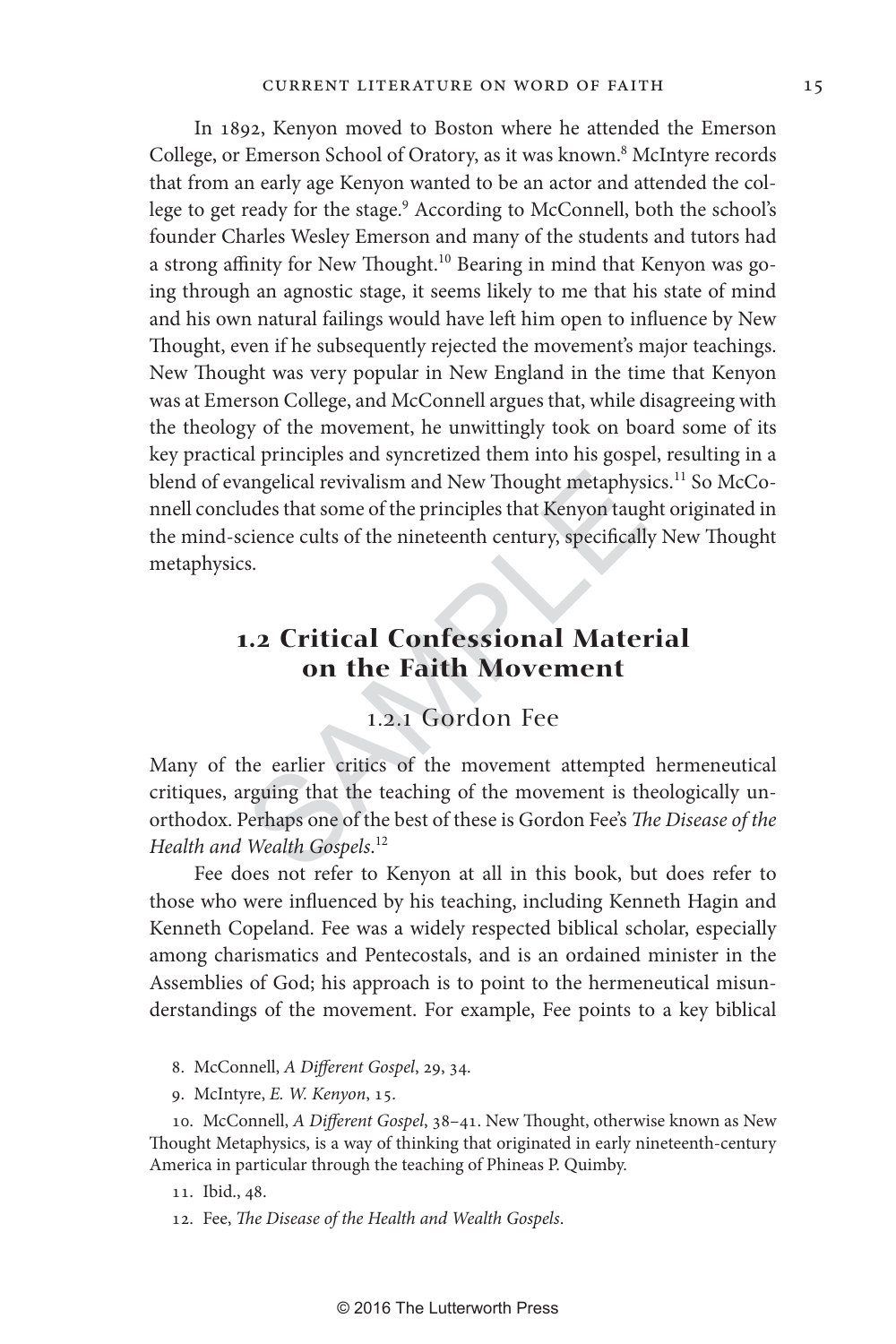angelical revivalism and New Thought metaphysity<br>udes that some of the principles that Kenyon taug<br>cience cults of the nineteenth century, specificall:<br>s.<br>**1.2 Critical Confessional Mater**<br>**1.2.1 Gordon Fee**<br>the earlier cr In 1892, Kenyon moved to Boston where he attended the Emerson College, or Emerson School of Oratory, as it was known. 8 McIntyre records that from an early age Kenyon wanted to be an actor and attended the college to get ready for the stage.<sup>9</sup> According to McConnell, both the school's founder Charles Wesley Emerson and many of the students and tutors had a strong affinity for New Thought.<sup>10</sup> Bearing in mind that Kenyon was going through an agnostic stage, it seems likely to me that his state of mind and his own natural failings would have left him open to influence by New Thought, even if he subsequently rejected the movement's major teachings. New Thought was very popular in New England in the time that Kenyon was at Emerson College, and McConnell argues that, while disagreeing with the theology of the movement, he unwittingly took on board some of its key practical principles and syncretized them into his gospel, resulting in a blend of evangelical revivalism and New Thought metaphysics.<sup>11</sup> So McConnell concludes that some of the principles that Kenyon taught originated in the mind-science cults of the nineteenth century, specifically New Thought metaphysics.

## **1. 2 Critical Confessional Material on the Faith Movement**

### 1.2.1 Gordon Fee

Many of the earlier critics of the movement attempted hermeneutical critiques, arguing that the teaching of the movement is theologically unorthodox. Perhaps one of the best of these is Gordon Fee's *The Disease of the Health and Wealth Gospels* . 12

Fee does not refer to Kenyon at all in this book, but does refer to those who were influenced by his teaching, including Kenneth Hagin and Kenneth Copeland. Fee was a widely respected biblical scholar, especially among charismatics and Pentecostals, and is an ordained minister in the Assemblies of God; his approach is to point to the hermeneutical misunderstandings of the movement. For example, Fee points to a key biblical

- 8. McConnell, *A Different Gospel*, 29, 34.
- 9. McIntyre, *E. W. Kenyon*, 15.

10. McConnell, *A Different Gospel*, 38–41. New Thought, otherwise known as New Thought Metaphysics, is a way of thinking that originated in early nineteenth-century America in particular through the teaching of Phineas P. Quimby.

12. Fee, *The Disease of the Health and Wealth Gospels*.

<sup>11.</sup> Ibid., 48.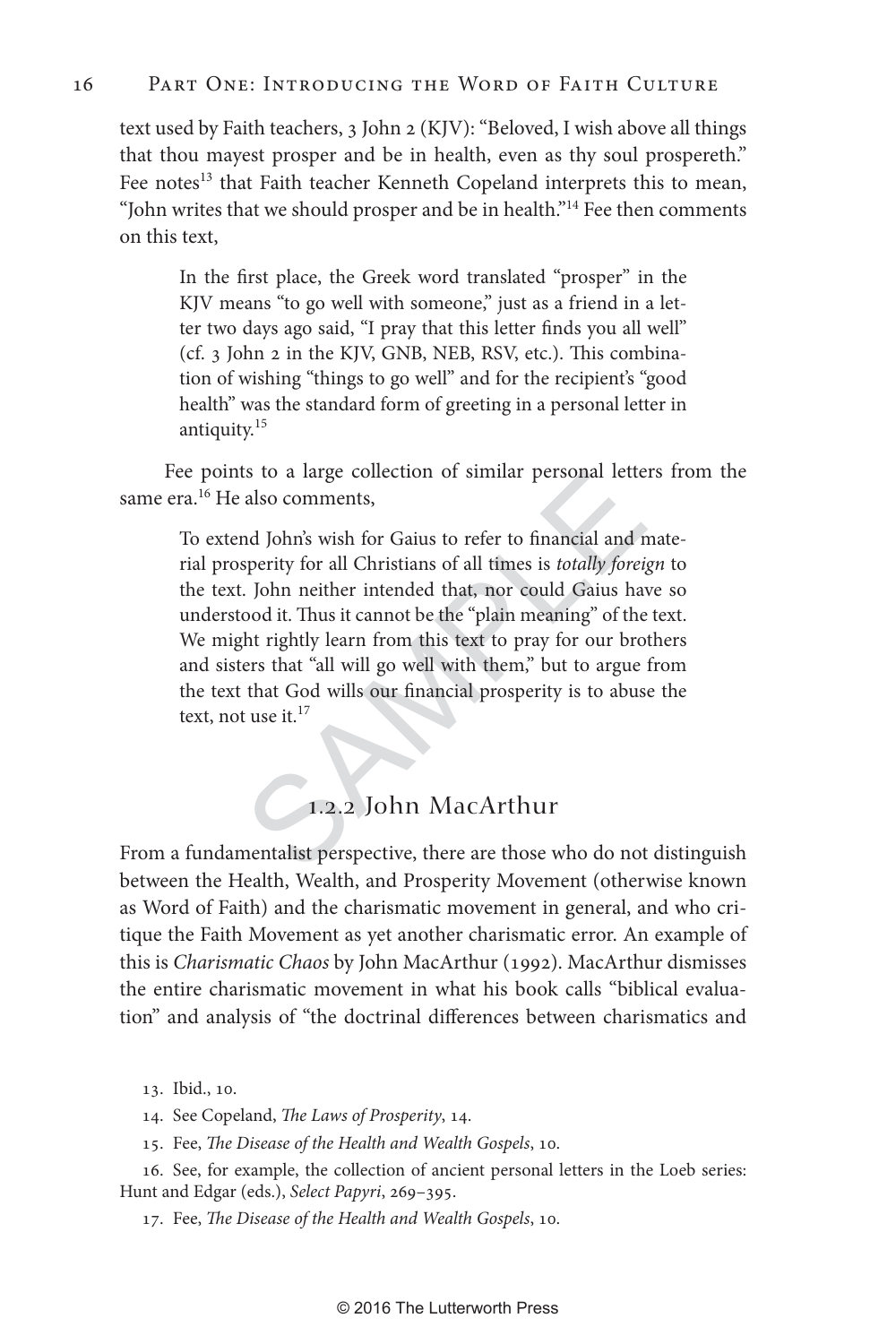### 16 Part One: Introducing the Word of Faith Culture

text used by Faith teachers, 3 John 2 (KJV): "Beloved, I wish above all things that thou mayest prosper and be in health, even as thy soul prospereth." Fee notes<sup>13</sup> that Faith teacher Kenneth Copeland interprets this to mean, "John writes that we should prosper and be in health."<sup>14</sup> Fee then comments on this text,

In the first place, the Greek word translated "prosper" in the KJV means "to go well with someone," just as a friend in a letter two days ago said, "I pray that this letter finds you all well" (cf. 3 John 2 in the KJV, GNB, NEB, RSV, etc.). This combination of wishing "things to go well" and for the recipient's "good health" was the standard form of greeting in a personal letter in antiquity.15

Fee points to a large collection of similar personal letters from the same era.<sup>16</sup> He also comments,

is to a large collection of similar personal lette<br>also comments,<br>and John's wish for Gaius to refer to financial and n<br>sperity for all Christians of all times is *totally foreig*.<br>John neither intended that, nor could Gai To extend John's wish for Gaius to refer to financial and material prosperity for all Christians of all times is *totally foreign* to the text. John neither intended that, nor could Gaius have so understood it. Thus it cannot be the "plain meaning" of the text. We might rightly learn from this text to pray for our brothers and sisters that "all will go well with them," but to argue from the text that God wills our financial prosperity is to abuse the text, not use it. $^{17}$ 

### 1 . 2 . 2 John MacArthur

From a fundamentalist perspective, there are those who do not distinguish between the Health, Wealth, and Prosperity Movement (otherwise known as Word of Faith) and the charismatic movement in general, and who critique the Faith Movement as yet another charismatic error. An example of this is *Charismatic Chaos* by John MacArthur (1992). MacArthur dismisses the entire charismatic movement in what his book calls "biblical evaluation" and analysis of "the doctrinal differences between charismatics and

13. Ibid., 10.

14. See Copeland, *The Laws of Prosperity*, 14.

15. Fee, *The Disease of the Health and Wealth Gospels*, 10.

16. See, for example, the collection of ancient personal letters in the Loeb series: Hunt and Edgar (eds.), *Select Papyri*, 269–395.

17. Fee, *The Disease of the Health and Wealth Gospels*, 10.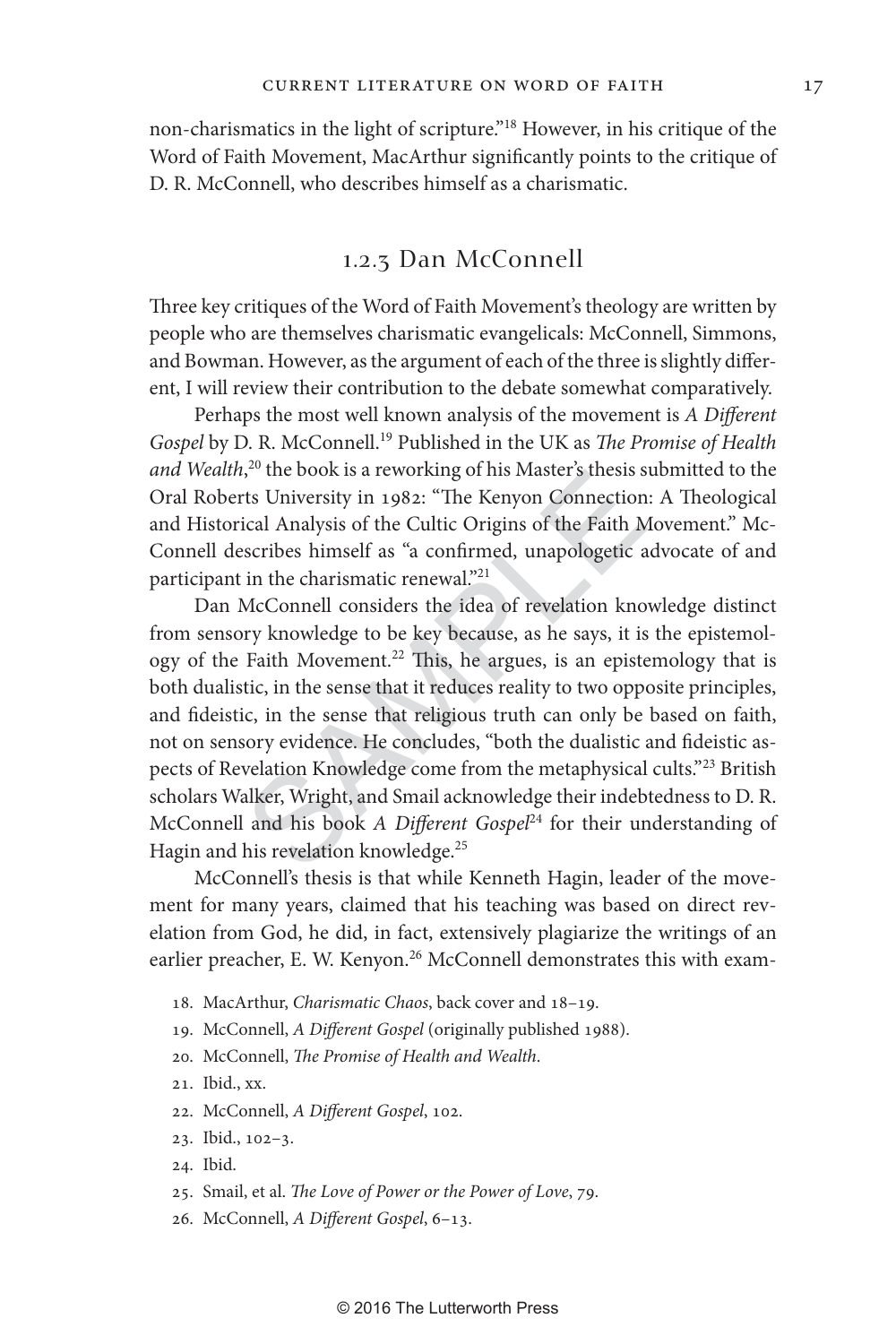non-charismatics in the light of scripture."18 However, in his critique of the Word of Faith Movement, MacArthur significantly points to the critique of D. R. McConnell, who describes himself as a charismatic.

### 1.2.3 Dan McConnell

Three key critiques of the Word of Faith Movement's theology are written by people who are themselves charismatic evangelicals: McConnell, Simmons, and Bowman. However, as the argument of each of the three is slightly different, I will review their contribution to the debate somewhat comparatively.

Perhaps the most well known analysis of the movement is *A Different Gospel* by D. R. McConnell.19 Published in the UK as *The Promise of Health*  and Wealth,<sup>20</sup> the book is a reworking of his Master's thesis submitted to the Oral Roberts University in 1982: "The Kenyon Connection: A Theological and Historical Analysis of the Cultic Origins of the Faith Movement." Mc-Connell describes himself as "a confirmed, unapologetic advocate of and participant in the charismatic renewal."<sup>21</sup>

<sup>1</sup>,<sup>25</sup> the book is a reworking of his Master's thesis s<br>
15 University in 1982: "The Kenyon Connection<br>
ical Analysis of the Cultic Origins of the Faith M<br>
16 Secribes himself as "a confirmed, unapologetic a<br>
in the cha Dan McConnell considers the idea of revelation knowledge distinct from sensory knowledge to be key because, as he says, it is the epistemology of the Faith Movement.<sup>22</sup> This, he argues, is an epistemology that is both dualistic, in the sense that it reduces reality to two opposite principles, and fideistic, in the sense that religious truth can only be based on faith, not on sensory evidence. He concludes, "both the dualistic and fideistic aspects of Revelation Knowledge come from the metaphysical cults."<sup>23</sup> British scholars Walker, Wright, and Smail acknowledge their indebtedness to D. R. McConnell and his book *A Different Gospel<sup>24</sup>* for their understanding of Hagin and his revelation knowledge.<sup>25</sup>

McConnell's thesis is that while Kenneth Hagin, leader of the movement for many years, claimed that his teaching was based on direct revelation from God, he did, in fact, extensively plagiarize the writings of an earlier preacher, E. W. Kenyon.<sup>26</sup> McConnell demonstrates this with exam-

- 18. MacArthur, *Charismatic Chaos*, back cover and 18–19.
- 19. McConnell, *A Different Gospel* (originally published 1988).
- 20. McConnell, *The Promise of Health and Wealth* .
- 21. Ibid., xx.
- 22. McConnell, *A Different Gospel*, 102.
- 23. Ibid., 102–3.
- 24. Ibid.
- 25. Smail, et al. *The Love of Power or the Power of Love*, 79.
- 26. McConnell, *A Different Gospel*, 6–13.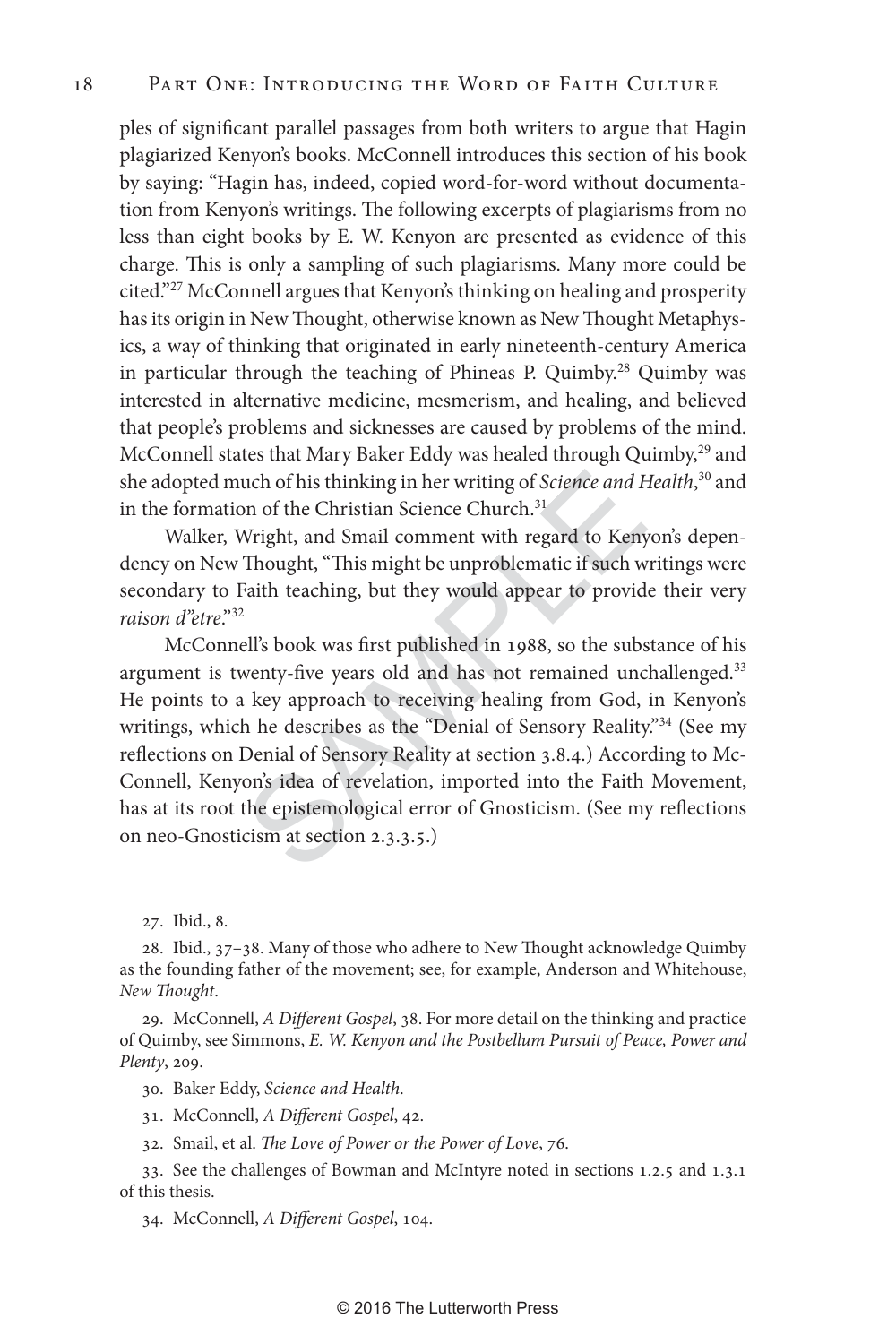ples of significant parallel passages from both writers to argue that Hagin plagiarized Kenyon's books. McConnell introduces this section of his book by saying: "Hagin has, indeed, copied word-for-word without documentation from Kenyon's writings. The following excerpts of plagiarisms from no less than eight books by E. W. Kenyon are presented as evidence of this charge. This is only a sampling of such plagiarisms. Many more could be cited."27 McConnell argues that Kenyon's thinking on healing and prosperity has its origin in New Thought, otherwise known as New Thought Metaphysics, a way of thinking that originated in early nineteenth-century America in particular through the teaching of Phineas P. Quimby.<sup>28</sup> Quimby was interested in alternative medicine, mesmerism, and healing, and believed that people's problems and sicknesses are caused by problems of the mind. McConnell states that Mary Baker Eddy was healed through Quimby,<sup>29</sup> and she adopted much of his thinking in her writing of *Science and Health* , 30 and in the formation of the Christian Science Church.<sup>31</sup>

Walker, Wright, and Smail comment with regard to Kenyon's dependency on New Thought, "This might be unproblematic if such writings were secondary to Faith teaching, but they would appear to provide their very *raison d"etre*."32

uch of his thinking in her writing of *Science and H*.<br>
on of the Christian Science Church.<sup>31</sup><br>
Wright, and Smail comment with regard to Keny<br>
Thought, "This might be unproblematic if such w<br>
Faith teaching, but they woul McConnell's book was first published in 1988, so the substance of his argument is twenty-five years old and has not remained unchallenged.<sup>33</sup> He points to a key approach to receiving healing from God, in Kenyon's writings, which he describes as the "Denial of Sensory Reality."<sup>34</sup> (See my reflections on Denial of Sensory Reality at section 3.8.4.) According to Mc-Connell, Kenyon's idea of revelation, imported into the Faith Movement, has at its root the epistemological error of Gnosticism. (See my reflections on neo-Gnosticism at section 2.3.3.5.)

27. Ibid., 8.

28. Ibid., 37–38. Many of those who adhere to New Thought acknowledge Quimby as the founding father of the movement; see, for example, Anderson and Whitehouse, *New Thought* .

29. McConnell, *A Different Gospel*, 38. For more detail on the thinking and practice of Quimby, see Simmons, *E. W. Kenyon and the Postbellum Pursuit of Peace, Power and Plenty*, 209.

30. Baker Eddy, *Science and Health* .

31. McConnell, *A Different Gospel*, 42.

32. Smail, et al. *The Love of Power or the Power of Love*, 76.

33. See the challenges of Bowman and McIntyre noted in sections 1.2.5 and 1.3.1 of this thesis.

34. McConnell, *A Different Gospel* , 104.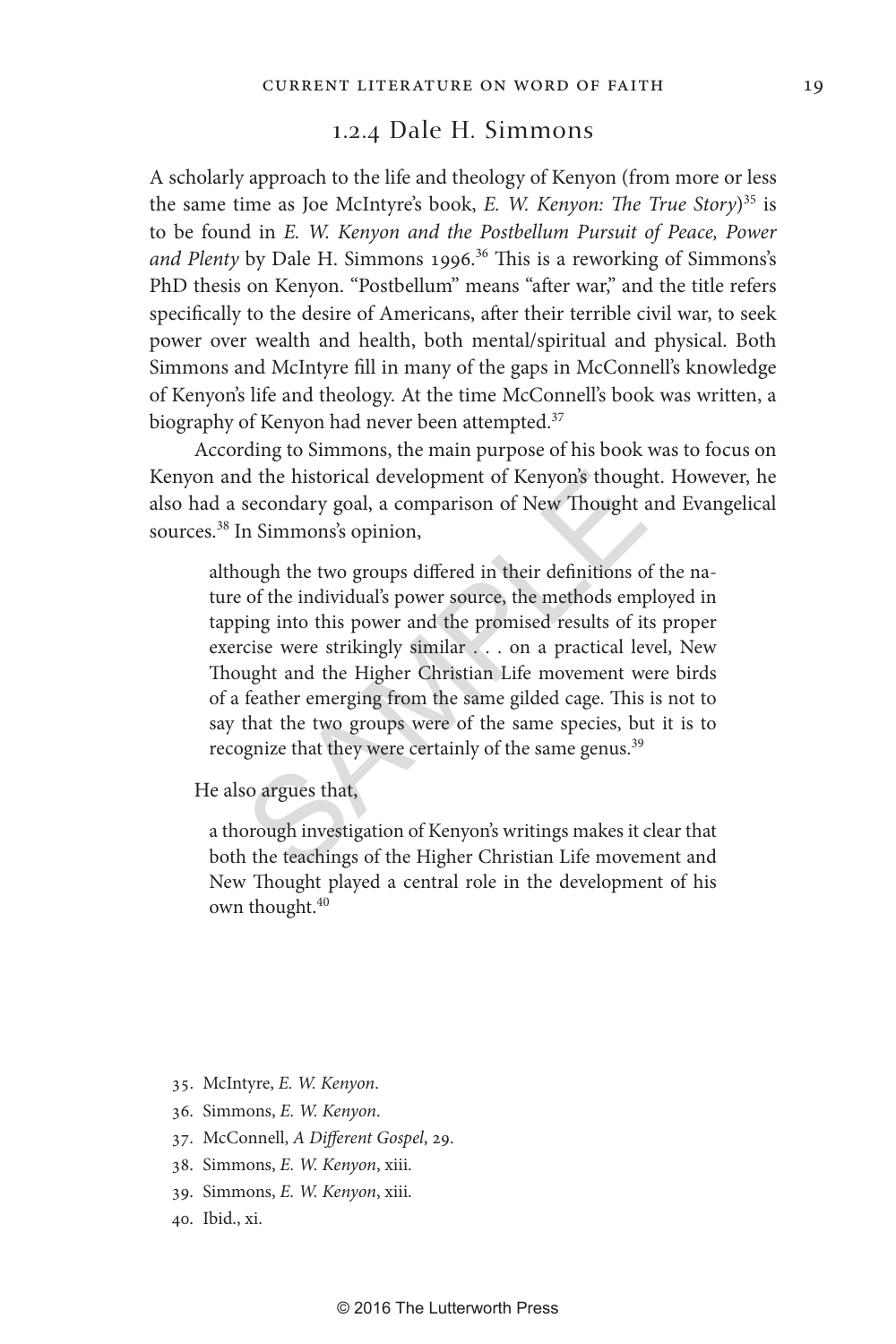### 1.2.4 Dale H. Simmons

A scholarly approach to the life and theology of Kenyon (from more or less the same time as Joe McIntyre's book, *E. W. Kenyon: The True Story* ) 35 is to be found in *E. W. Kenyon and the Postbellum Pursuit of Peace, Power*  and Plenty by Dale H. Simmons 1996.<sup>36</sup> This is a reworking of Simmons's PhD thesis on Kenyon. "Postbellum" means "after war," and the title refers specifically to the desire of Americans, after their terrible civil war, to seek power over wealth and health, both mental/spiritual and physical. Both Simmons and McIntyre fill in many of the gaps in McConnell's knowledge of Kenyon's life and theology. At the time McConnell's book was written, a biography of Kenyon had never been attempted.<sup>37</sup>

According to Simmons, the main purpose of his book was to focus on Kenyon and the historical development of Kenyon's thought. However, he also had a secondary goal, a comparison of New Thought and Evangelical sources.38 In Simmons's opinion,

d the historical development of Kenyon's though<br>secondary goal, a comparison of New Thought a<br>n Simmons's opinion,<br>ough the two groups differed in their definitions o<br>of the individual's power source, the methods emp<br>ing i although the two groups differed in their definitions of the nature of the individual's power source, the methods employed in tapping into this power and the promised results of its proper exercise were strikingly similar . . . on a practical level, New Thought and the Higher Christian Life movement were birds of a feather emerging from the same gilded cage. This is not to say that the two groups were of the same species, but it is to recognize that they were certainly of the same genus.<sup>39</sup>

He also argues that,

a thorough investigation of Kenyon's writings makes it clear that both the teachings of the Higher Christian Life movement and New Thought played a central role in the development of his own thought.40

- 35. McIntyre, *E. W. Kenyon* .
- 36. Simmons, *E. W. Kenyon* .
- 37. McConnell, *A Different Gospel*, 29.
- 38. Simmons, *E. W. Kenyon*, xiii.
- 39. Simmons, *E. W. Kenyon*, xiii.
- 40. Ibid., xi.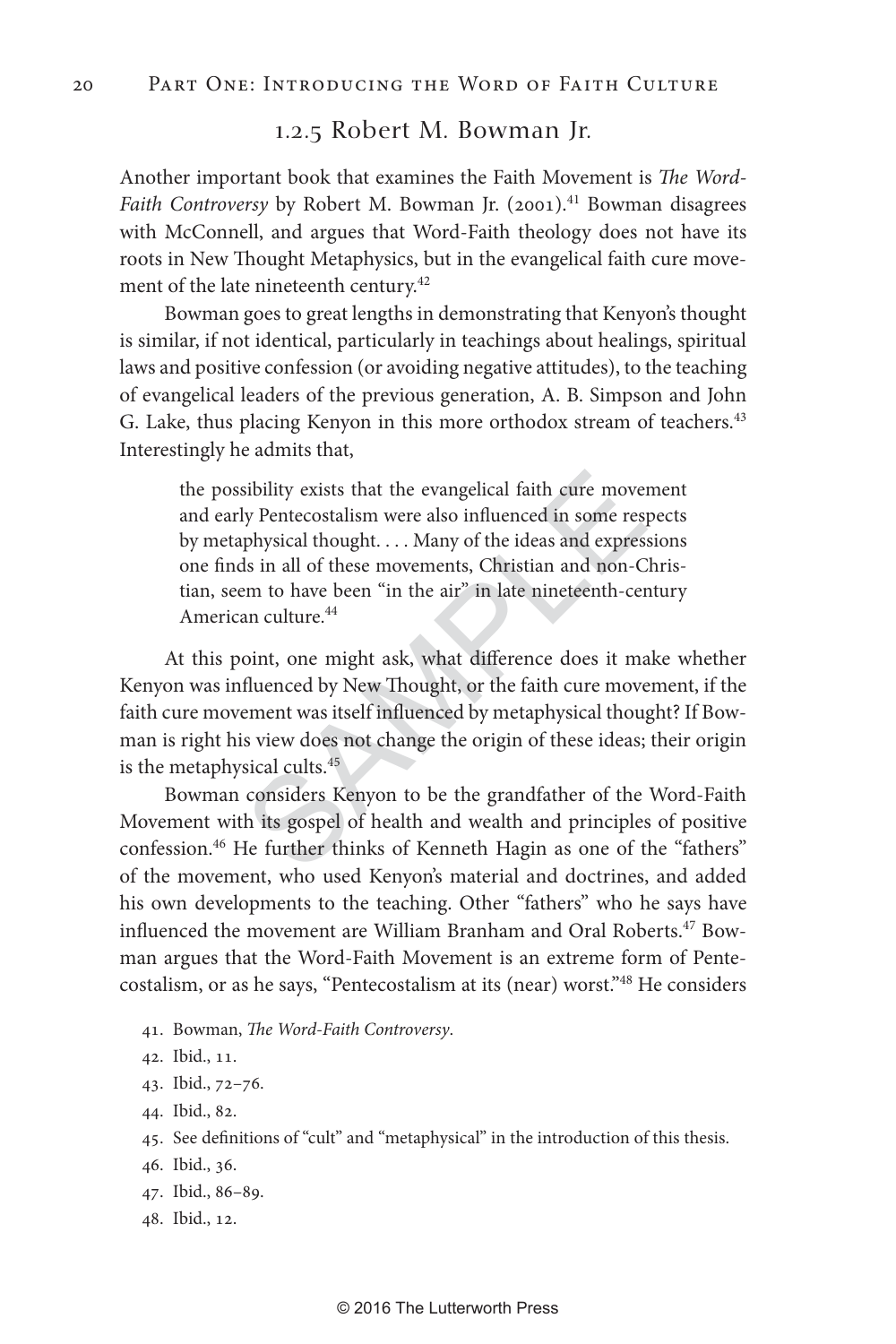# 1.2.5 Robert M. Bowman Jr.

Another important book that examines the Faith Movement is *The Word-*Faith Controversy by Robert M. Bowman Jr. (2001).<sup>41</sup> Bowman disagrees with McConnell, and argues that Word-Faith theology does not have its roots in New Thought Metaphysics, but in the evangelical faith cure movement of the late nineteenth century.<sup>42</sup>

Bowman goes to great lengths in demonstrating that Kenyon's thought is similar, if not identical, particularly in teachings about healings, spiritual laws and positive confession (or avoiding negative attitudes), to the teaching of evangelical leaders of the previous generation, A. B. Simpson and John G. Lake, thus placing Kenyon in this more orthodox stream of teachers.<sup>43</sup> Interestingly he admits that,

sibility exists that the evangelical faith cure mover<br>y Pentecostalism were also influenced in some resp<br>physical thought....Many of the ideas and express<br>ls in all of these movements, Christian and non-C<br>em to have been the possibility exists that the evangelical faith cure movement and early Pentecostalism were also influenced in some respects by metaphysical thought. . . . Many of the ideas and expressions one finds in all of these movements, Christian and non-Christian, seem to have been "in the air" in late nineteenth-century American culture.44

At this point, one might ask, what difference does it make whether Kenyon was influenced by New Thought, or the faith cure movement, if the faith cure movement was itself influenced by metaphysical thought? If Bowman is right his view does not change the origin of these ideas; their origin is the metaphysical cults.<sup>45</sup>

Bowman considers Kenyon to be the grandfather of the Word-Faith Movement with its gospel of health and wealth and principles of positive confession.<sup>46</sup> He further thinks of Kenneth Hagin as one of the "fathers" of the movement, who used Kenyon's material and doctrines, and added his own developments to the teaching. Other "fathers" who he says have influenced the movement are William Branham and Oral Roberts.<sup>47</sup> Bowman argues that the Word-Faith Movement is an extreme form of Pentecostalism, or as he says, "Pentecostalism at its (near) worst."48 He considers

- 41. Bowman, *The Word-Faith Controversy* .
- 42. Ibid., 11.
- 43. Ibid., 72–76.
- 44. Ibid., 82.
- 45. See definitions of "cult" and "metaphysical" in the introduction of this thesis.
- 46. Ibid., 36.
- 47. Ibid., 86–89.
- 48. Ibid., 12.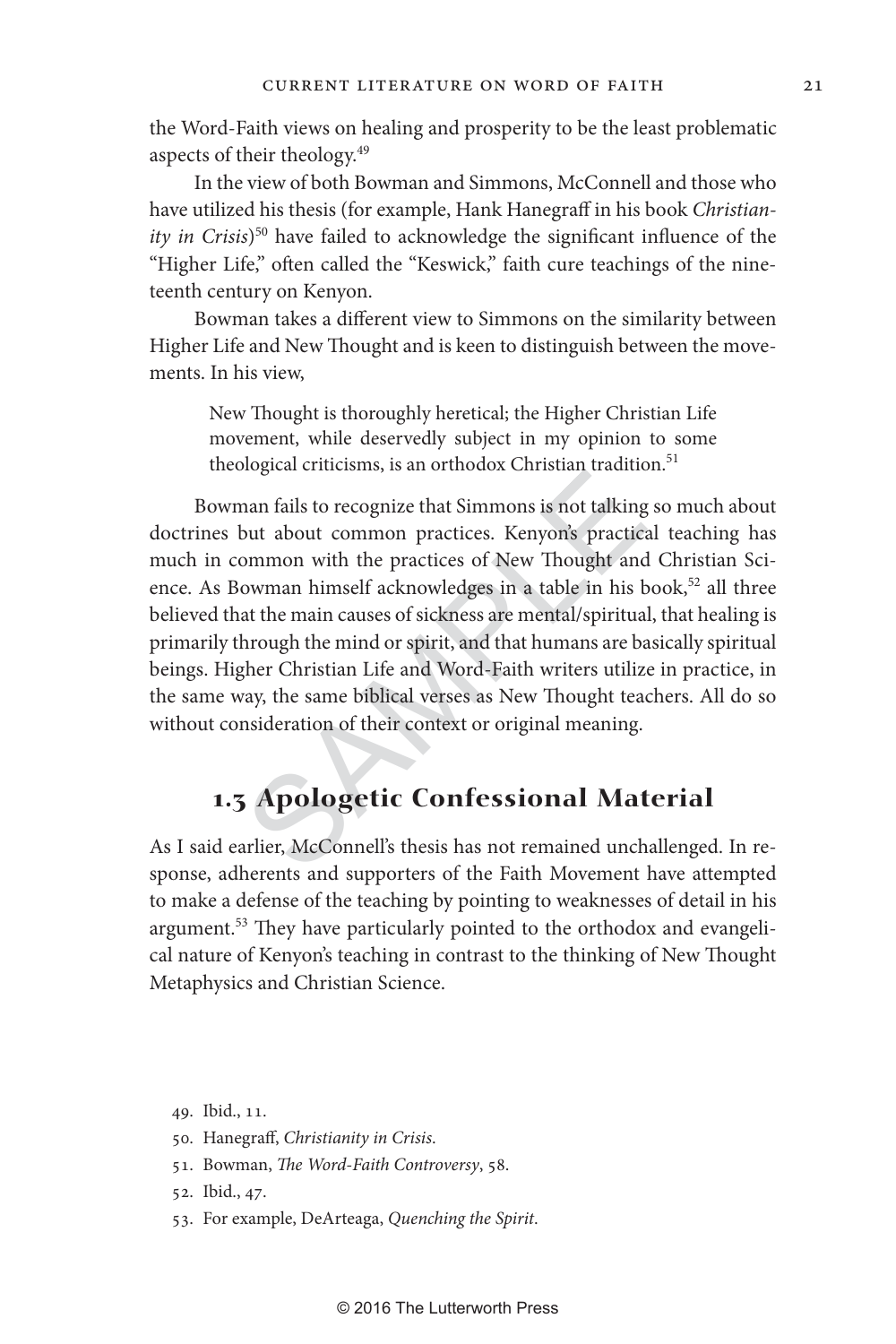the Word-Faith views on healing and prosperity to be the least problematic aspects of their theology.49

In the view of both Bowman and Simmons, McConnell and those who have utilized his thesis (for example, Hank Hanegraff in his book *Christianity in Crisis*) 50 have failed to acknowledge the significant influence of the "Higher Life," often called the "Keswick," faith cure teachings of the nineteenth century on Kenyon.

Bowman takes a different view to Simmons on the similarity between Higher Life and New Thought and is keen to distinguish between the movements. In his view,

New Thought is thoroughly heretical; the Higher Christian Life movement, while deservedly subject in my opinion to some theological criticisms, is an orthodox Christian tradition.<sup>51</sup>

nan fails to recognize that Simmons is not talking<br>nan fails to recognize that Simmons is not talking<br>but about common practices. Kenyon's practice<br>normon with the practices of New Thought and<br>owman himself acknowledges in Bowman fails to recognize that Simmons is not talking so much about doctrines but about common practices. Kenyon's practical teaching has much in common with the practices of New Thought and Christian Science. As Bowman himself acknowledges in a table in his book,<sup>52</sup> all three believed that the main causes of sickness are mental/spiritual, that healing is primarily through the mind or spirit, and that humans are basically spiritual beings. Higher Christian Life and Word-Faith writers utilize in practice, in the same way, the same biblical verses as New Thought teachers. All do so without consideration of their context or original meaning.

# **1.3 Apologetic Confessional Material**

As I said earlier, McConnell's thesis has not remained unchallenged. In response, adherents and supporters of the Faith Movement have attempted to make a defense of the teaching by pointing to weaknesses of detail in his argument.<sup>53</sup> They have particularly pointed to the orthodox and evangelical nature of Kenyon's teaching in contrast to the thinking of New Thought Metaphysics and Christian Science.

49. Ibid., 11.

- 50. Hanegraff, *Christianity in Crisis* .
- 51. Bowman, *The Word-Faith Controversy*, 58.
- 52. Ibid., 47.
- 53. For example, DeArteaga, *Quenching the Spirit*.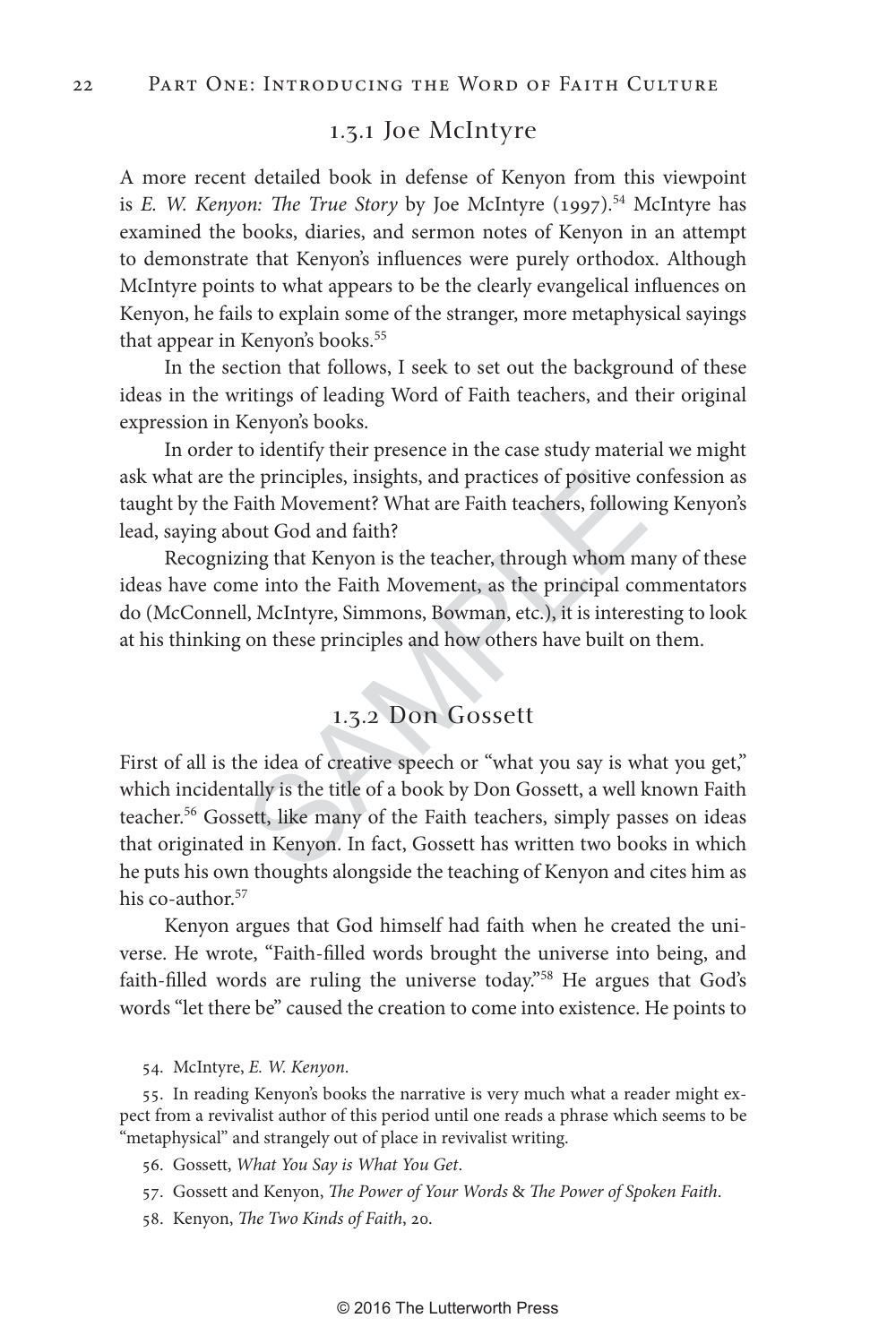### 1.3.1 Joe McIntyre

A more recent detailed book in defense of Kenyon from this viewpoint is *E. W. Kenyon: The True Story* by Joe McIntyre (1997).<sup>54</sup> McIntyre has examined the books, diaries, and sermon notes of Kenyon in an attempt to demonstrate that Kenyon's influences were purely orthodox. Although McIntyre points to what appears to be the clearly evangelical influences on Kenyon, he fails to explain some of the stranger, more metaphysical sayings that appear in Kenyon's books.<sup>55</sup>

In the section that follows, I seek to set out the background of these ideas in the writings of leading Word of Faith teachers, and their original expression in Kenyon's books.

In order to identify their presence in the case study material we might ask what are the principles, insights, and practices of positive confession as taught by the Faith Movement? What are Faith teachers, following Kenyon's lead, saying about God and faith?

Recognizing that Kenyon is the teacher, through whom many of these ideas have come into the Faith Movement, as the principal commentators do (McConnell, McIntyre, Simmons, Bowman, etc.), it is interesting to look at his thinking on these principles and how others have built on them.

# 1.3.2 Don Gossett

is perinciples, insights, and practices of positive compared the Movement? What are Faith teachers, followity out God and faith?<br>
ing that Kenyon is the teacher, through whom more into the Faith Movement, as the principal First of all is the idea of creative speech or "what you say is what you get," which incidentally is the title of a book by Don Gossett, a well known Faith teacher.<sup>56</sup> Gossett, like many of the Faith teachers, simply passes on ideas that originated in Kenyon. In fact, Gossett has written two books in which he puts his own thoughts alongside the teaching of Kenyon and cites him as his co-author.<sup>57</sup>

Kenyon argues that God himself had faith when he created the universe. He wrote, "Faith-filled words brought the universe into being, and faith-filled words are ruling the universe today."58 He argues that God's words "let there be" caused the creation to come into existence. He points to

54. McIntyre, *E. W. Kenyon* .

55. In reading Kenyon's books the narrative is very much what a reader might expect from a revivalist author of this period until one reads a phrase which seems to be "metaphysical" and strangely out of place in revivalist writing.

56. Gossett, *What You Say is What You Get* .

- 57. Gossett and Kenyon, *The Power of Your Words* & *The Power of Spoken Faith* .
- 58. Kenyon, *The Two Kinds of Faith*, 20.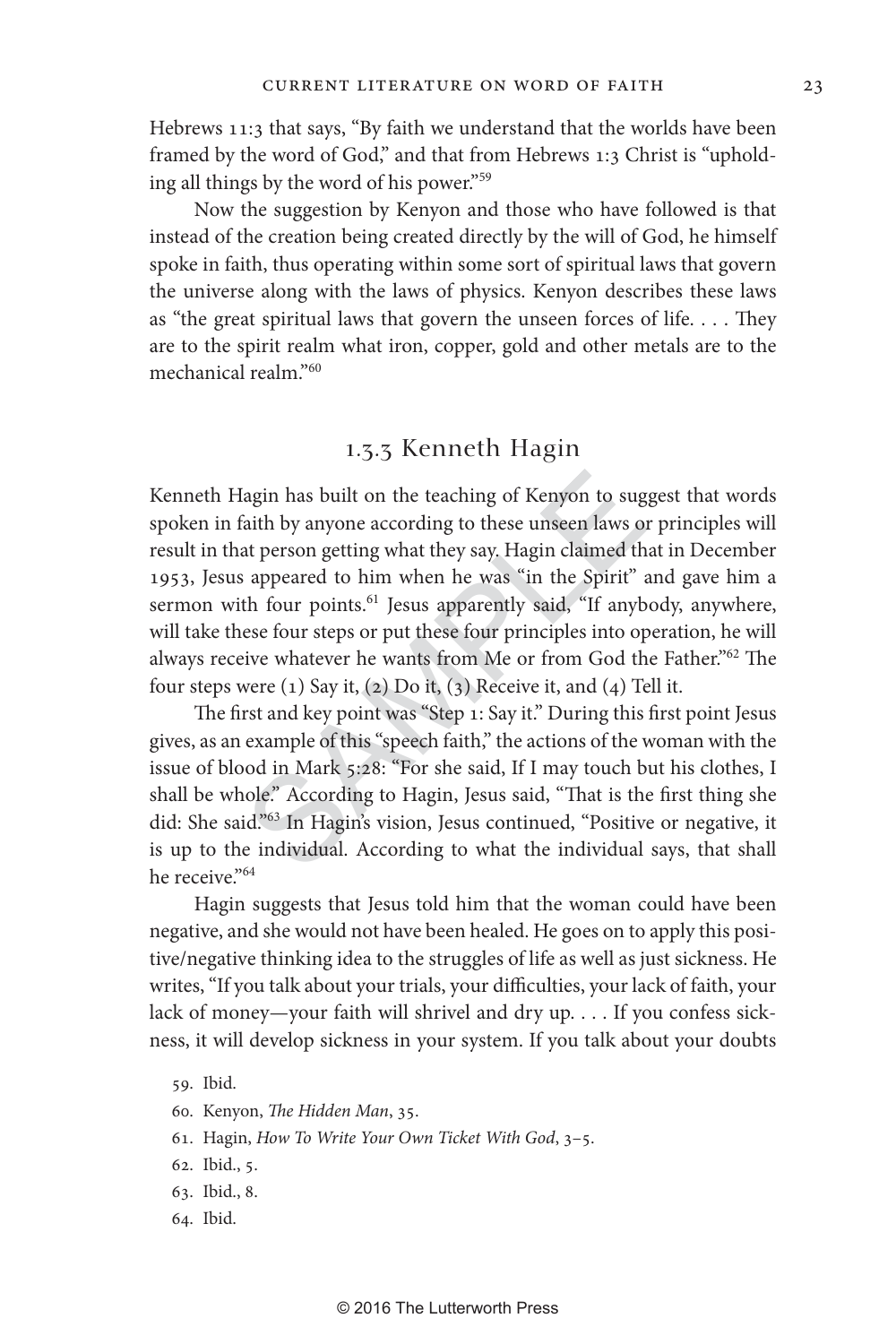Hebrews 11:3 that says, "By faith we understand that the worlds have been framed by the word of God," and that from Hebrews 1:3 Christ is "upholding all things by the word of his power."59

Now the suggestion by Kenyon and those who have followed is that instead of the creation being created directly by the will of God, he himself spoke in faith, thus operating within some sort of spiritual laws that govern the universe along with the laws of physics. Kenyon describes these laws as "the great spiritual laws that govern the unseen forces of life. . . . They are to the spirit realm what iron, copper, gold and other metals are to the mechanical realm."60

### 1 . 3 . 3 Kenneth Hagin

agin has built on the teaching of Kenyon to sug<br>aith by anyone according to these unseen laws on<br>at person getting what they say. Hagin claimed th<br>appeared to him when he was "in the Spirit" a<br>th four points.<sup>61</sup> Jesus ap Kenneth Hagin has built on the teaching of Kenyon to suggest that words spoken in faith by anyone according to these unseen laws or principles will result in that person getting what they say. Hagin claimed that in December 1953, Jesus appeared to him when he was "in the Spirit" and gave him a sermon with four points.<sup>61</sup> Jesus apparently said, "If anybody, anywhere, will take these four steps or put these four principles into operation, he will always receive whatever he wants from Me or from God the Father."62 The four steps were  $(1)$  Say it,  $(2)$  Do it,  $(3)$  Receive it, and  $(4)$  Tell it.

The first and key point was "Step 1: Say it." During this first point Jesus gives, as an example of this "speech faith," the actions of the woman with the issue of blood in Mark 5:28: "For she said, If I may touch but his clothes, I shall be whole." According to Hagin, Jesus said, "That is the first thing she did: She said."63 In Hagin's vision, Jesus continued, "Positive or negative, it is up to the individual. According to what the individual says, that shall he receive."64

Hagin suggests that Jesus told him that the woman could have been negative, and she would not have been healed. He goes on to apply this positive/negative thinking idea to the struggles of life as well as just sickness. He writes, "If you talk about your trials, your difficulties, your lack of faith, your lack of money—your faith will shrivel and dry up. . . . If you confess sickness, it will develop sickness in your system. If you talk about your doubts

- 60. Kenyon, *The Hidden Man*, 35.
- 61. Hagin, *How To Write Your Own Ticket With God*, 3–5.
- 62. Ibid., 5.
- 63. Ibid., 8.
- 64. Ibid.

<sup>59.</sup> Ibid.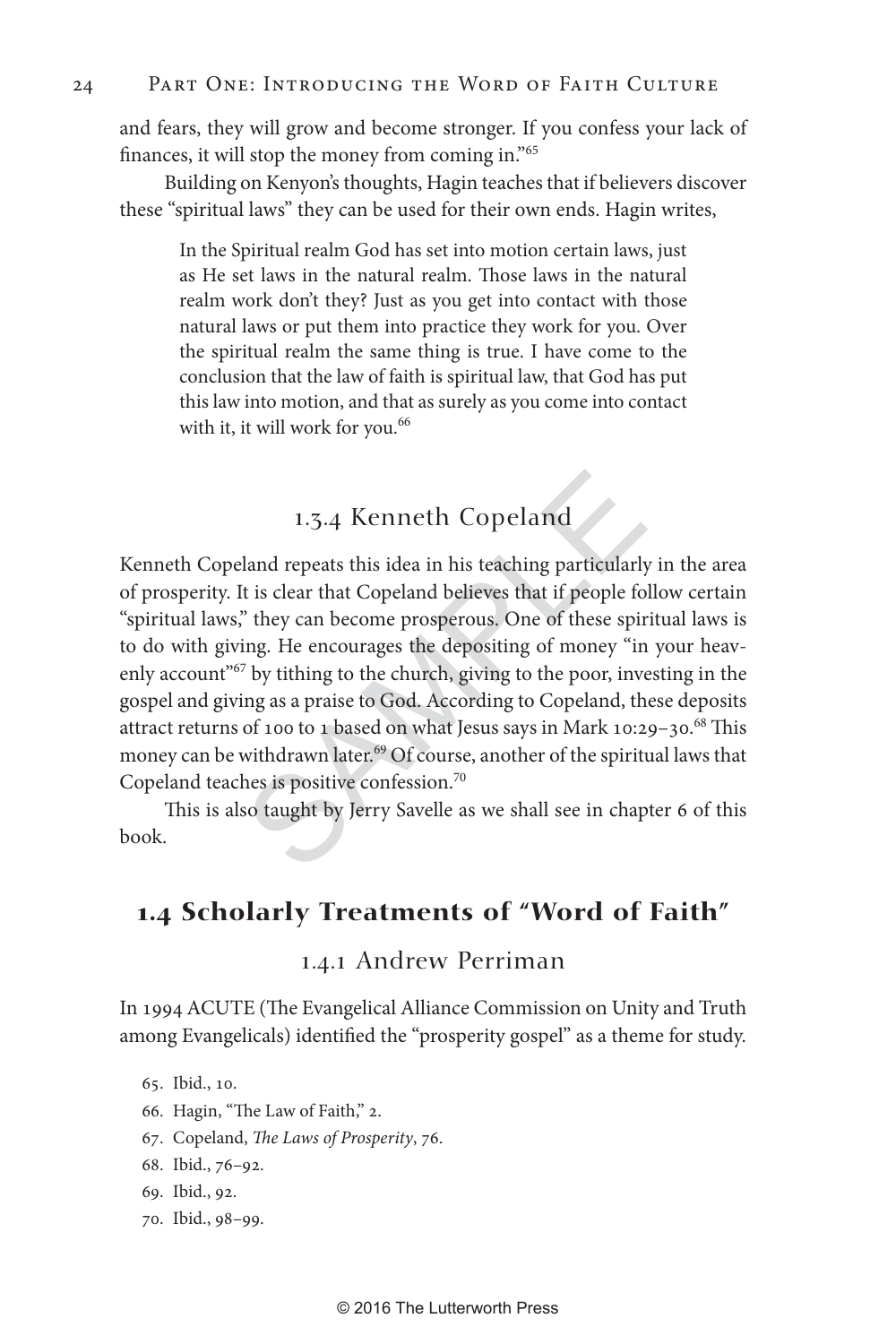and fears, they will grow and become stronger. If you confess your lack of finances, it will stop the money from coming in."65

Building on Kenyon's thoughts, Hagin teaches that if believers discover these "spiritual laws" they can be used for their own ends. Hagin writes,

In the Spiritual realm God has set into motion certain laws, just as He set laws in the natural realm. Those laws in the natural realm work don't they? Just as you get into contact with those natural laws or put them into practice they work for you. Over the spiritual realm the same thing is true. I have come to the conclusion that the law of faith is spiritual law, that God has put this law into motion, and that as surely as you come into contact with it, it will work for you.<sup>66</sup>

# 1.3.4 Kenneth Copeland

1.3.4 Kenneth Copeland<br>land repeats this idea in his teaching particularly<br>t is clear that Copeland believes that if people fo<br>" they can become prosperous. One of these spir<br>ing. He encourages the depositing of money "in Kenneth Copeland repeats this idea in his teaching particularly in the area of prosperity. It is clear that Copeland believes that if people follow certain "spiritual laws," they can become prosperous. One of these spiritual laws is to do with giving. He encourages the depositing of money "in your heavenly account<sup>"67</sup> by tithing to the church, giving to the poor, investing in the gospel and giving as a praise to God. According to Copeland, these deposits attract returns of 100 to 1 based on what Jesus says in Mark 10:29-30.<sup>68</sup> This money can be withdrawn later.<sup>69</sup> Of course, another of the spiritual laws that Copeland teaches is positive confession.<sup>70</sup>

This is also taught by Jerry Savelle as we shall see in chapter 6 of this book.

# **1.4 Scholarly Treatments of "Word of Faith"**

### 1.4.1 Andrew Perriman

In 1994 ACUTE (The Evangelical Alliance Commission on Unity and Truth among Evangelicals) identified the "prosperity gospel" as a theme for study.

65. Ibid., 10.

- 66. Hagin, "The Law of Faith," 2.
- 67. Copeland, *The Laws of Prosperity*, 76.
- 68. Ibid., 76–92.
- 69. Ibid., 92.
- 70. Ibid., 98–99.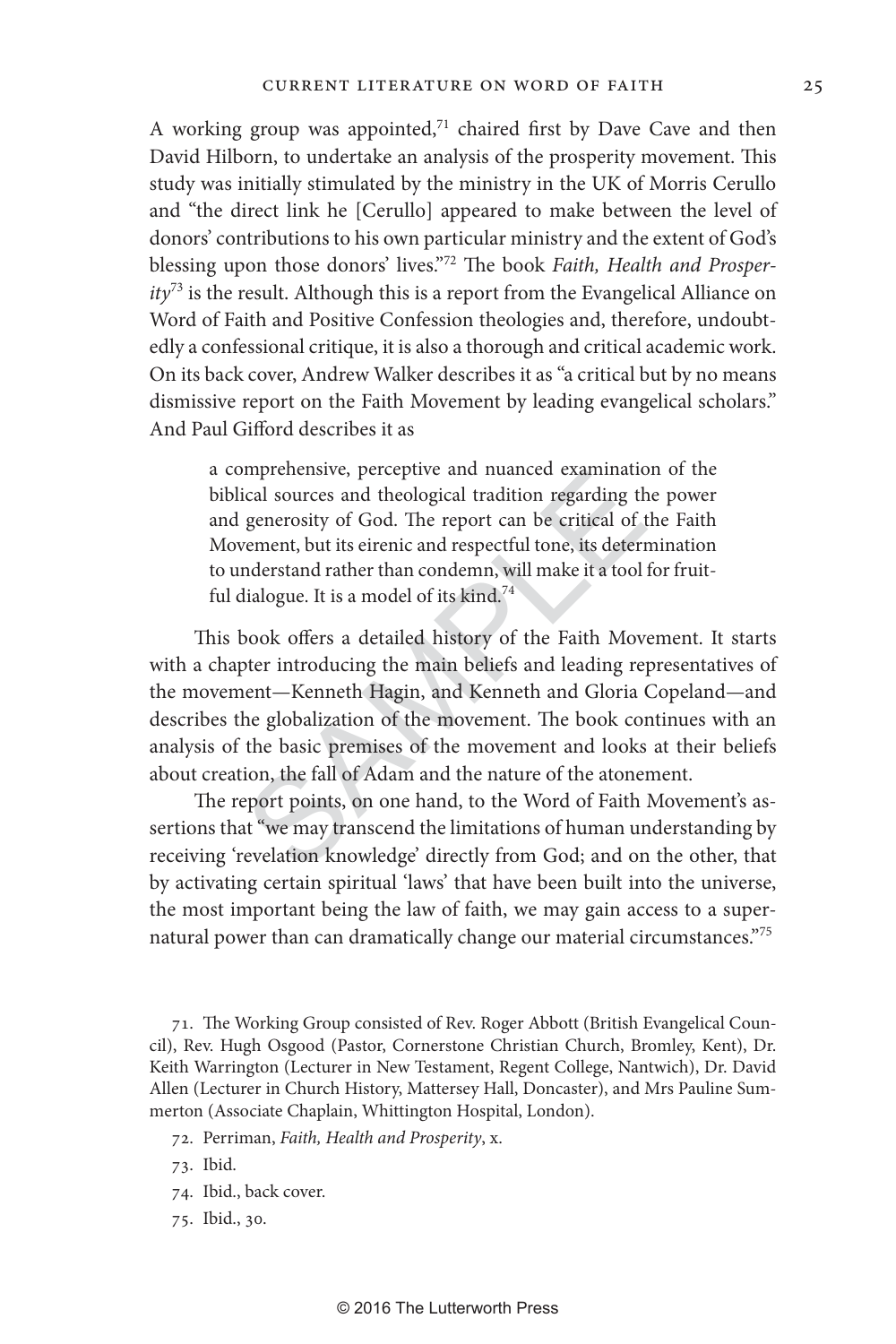A working group was appointed,<sup>71</sup> chaired first by Dave Cave and then David Hilborn, to undertake an analysis of the prosperity movement. This study was initially stimulated by the ministry in the UK of Morris Cerullo and "the direct link he [Cerullo] appeared to make between the level of donors' contributions to his own particular ministry and the extent of God's blessing upon those donors' lives."72 The book *Faith, Health and Prosperity*73 is the result. Although this is a report from the Evangelical Alliance on Word of Faith and Positive Confession theologies and, therefore, undoubtedly a confessional critique, it is also a thorough and critical academic work. On its back cover, Andrew Walker describes it as "a critical but by no means dismissive report on the Faith Movement by leading evangelical scholars." And Paul Gifford describes it as

a comprehensive, perceptive and nuanced examination of the biblical sources and theological tradition regarding the power and generosity of God. The report can be critical of the Faith Movement, but its eirenic and respectful tone, its determination to understand rather than condemn, will make it a tool for fruitful dialogue. It is a model of its kind.<sup>74</sup>

mprenensive, perceptive and nuanced examinatio<br>ccal sources and theological tradition regarding th<br>generosity of God. The report can be critical of t<br>vement, but its eirenic and respectful tone, its detern<br>nderstand rathe This book offers a detailed history of the Faith Movement. It starts with a chapter introducing the main beliefs and leading representatives of the movement—Kenneth Hagin, and Kenneth and Gloria Copeland—and describes the globalization of the movement. The book continues with an analysis of the basic premises of the movement and looks at their beliefs about creation, the fall of Adam and the nature of the atonement.

The report points, on one hand, to the Word of Faith Movement's assertions that "we may transcend the limitations of human understanding by receiving 'revelation knowledge' directly from God; and on the other, that by activating certain spiritual 'laws' that have been built into the universe, the most important being the law of faith, we may gain access to a supernatural power than can dramatically change our material circumstances."75

71. The Working Group consisted of Rev. Roger Abbott (British Evangelical Council), Rev. Hugh Osgood (Pastor, Cornerstone Christian Church, Bromley, Kent), Dr. Keith Warrington (Lecturer in New Testament, Regent College, Nantwich), Dr. David Allen (Lecturer in Church History, Mattersey Hall, Doncaster), and Mrs Pauline Summerton (Associate Chaplain, Whittington Hospital, London).

- 72. Perriman, *Faith, Health and Prosperity*, x.
- 73. Ibid.
- 74. Ibid., back cover.
- 75. Ibid., 30.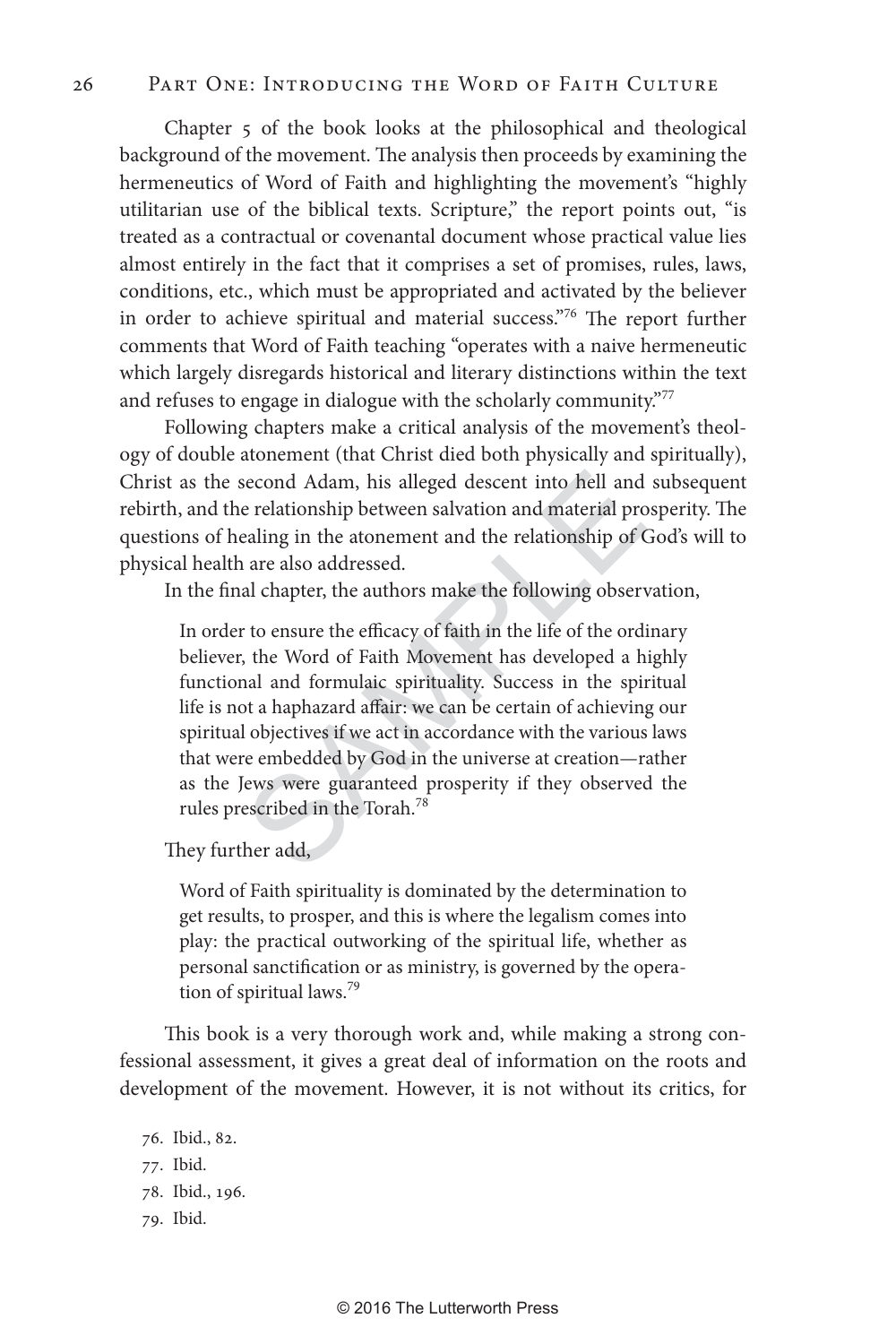### 26 Part One: Introducing the Word of Faith Culture

Chapter 5 of the book looks at the philosophical and theological background of the movement. The analysis then proceeds by examining the hermeneutics of Word of Faith and highlighting the movement's "highly utilitarian use of the biblical texts. Scripture," the report points out, "is treated as a contractual or covenantal document whose practical value lies almost entirely in the fact that it comprises a set of promises, rules, laws, conditions, etc., which must be appropriated and activated by the believer in order to achieve spiritual and material success."76 The report further comments that Word of Faith teaching "operates with a naive hermeneutic which largely disregards historical and literary distinctions within the text and refuses to engage in dialogue with the scholarly community."77

Following chapters make a critical analysis of the movement's theology of double atonement (that Christ died both physically and spiritually), Christ as the second Adam, his alleged descent into hell and subsequent rebirth, and the relationship between salvation and material prosperity. The questions of healing in the atonement and the relationship of God's will to physical health are also addressed.

In the final chapter, the authors make the following observation,

econd Adam, his alleged descent into hell and<br>e relationship between salvation and material pro<br>ealing in the atonement and the relationship of C<br>are also addressed.<br>al chapter, the authors make the following observ<br>to ens In order to ensure the efficacy of faith in the life of the ordinary believer, the Word of Faith Movement has developed a highly functional and formulaic spirituality. Success in the spiritual life is not a haphazard affair: we can be certain of achieving our spiritual objectives if we act in accordance with the various laws that were embedded by God in the universe at creation—rather as the Jews were guaranteed prosperity if they observed the rules prescribed in the Torah.<sup>78</sup>

They further add,

Word of Faith spirituality is dominated by the determination to get results, to prosper, and this is where the legalism comes into play: the practical outworking of the spiritual life, whether as personal sanctification or as ministry, is governed by the operation of spiritual laws.<sup>79</sup>

This book is a very thorough work and, while making a strong confessional assessment, it gives a great deal of information on the roots and development of the movement. However, it is not without its critics, for

- 76. Ibid., 82. 77. Ibid. 78. Ibid., 196.
- 79. Ibid.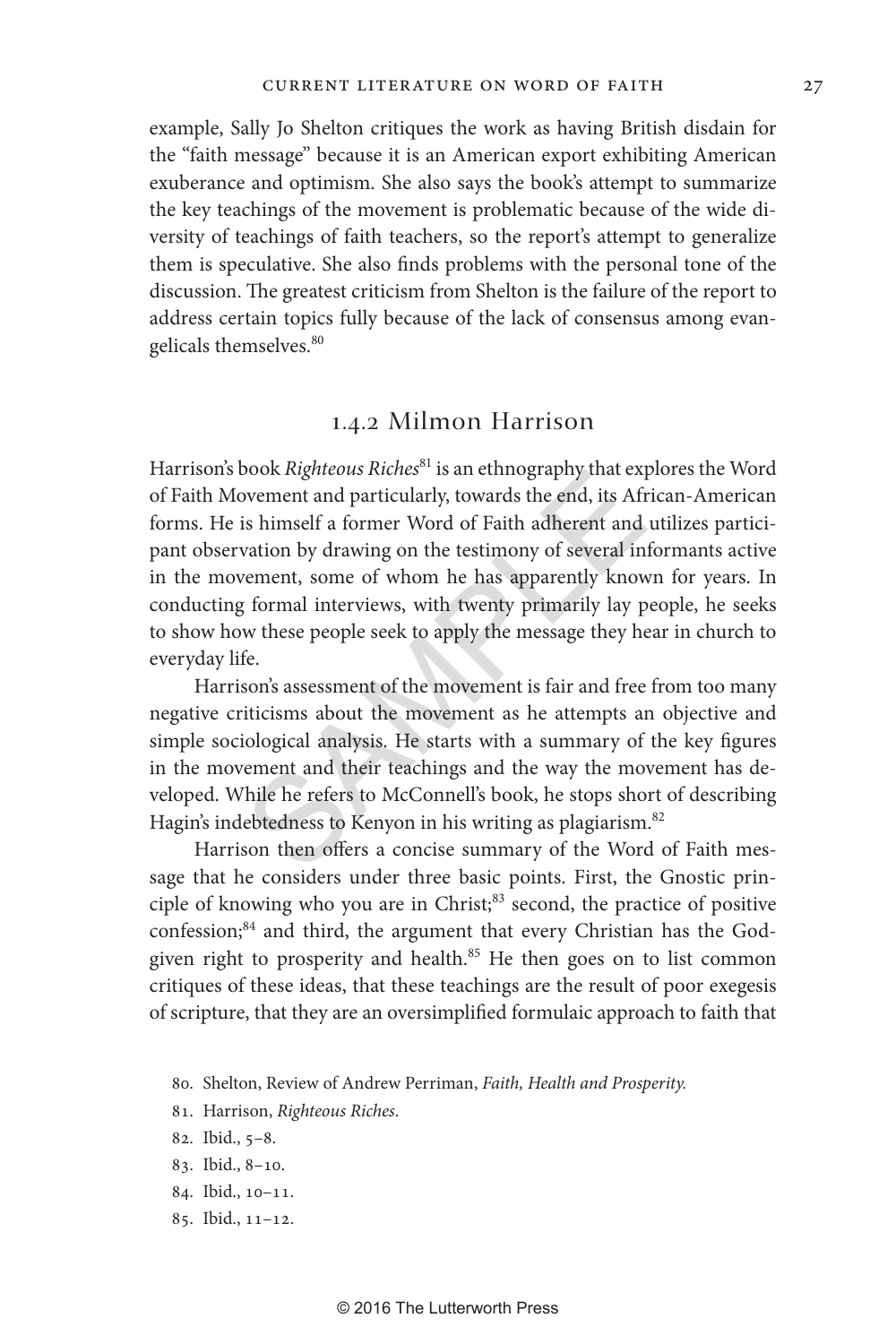example, Sally Jo Shelton critiques the work as having British disdain for the "faith message" because it is an American export exhibiting American exuberance and optimism. She also says the book's attempt to summarize the key teachings of the movement is problematic because of the wide diversity of teachings of faith teachers, so the report's attempt to generalize them is speculative. She also finds problems with the personal tone of the discussion. The greatest criticism from Shelton is the failure of the report to address certain topics fully because of the lack of consensus among evangelicals themselves.<sup>80</sup>

#### 1.4.2 Milmon Harrison

book *Righteous Riches* is an etimography that exponent and particularly, towards the end, its Afr<br>is himself a former Word of Faith adherent and<br>vation by drawing on the testimony of several in:<br>rement, some of whom he ha Harrison's book *Righteous Riches<sup>81</sup>* is an ethnography that explores the Word of Faith Movement and particularly, towards the end, its African-American forms. He is himself a former Word of Faith adherent and utilizes participant observation by drawing on the testimony of several informants active in the movement, some of whom he has apparently known for years. In conducting formal interviews, with twenty primarily lay people, he seeks to show how these people seek to apply the message they hear in church to everyday life.

Harrison's assessment of the movement is fair and free from too many negative criticisms about the movement as he attempts an objective and simple sociological analysis. He starts with a summary of the key figures in the movement and their teachings and the way the movement has developed. While he refers to McConnell's book, he stops short of describing Hagin's indebtedness to Kenyon in his writing as plagiarism.<sup>82</sup>

Harrison then offers a concise summary of the Word of Faith message that he considers under three basic points. First, the Gnostic principle of knowing who you are in Christ;<sup>83</sup> second, the practice of positive confession;<sup>84</sup> and third, the argument that every Christian has the Godgiven right to prosperity and health.<sup>85</sup> He then goes on to list common critiques of these ideas, that these teachings are the result of poor exegesis of scripture, that they are an oversimplified formulaic approach to faith that

- 81. Harrison, *Righteous Riches* .
- 82. Ibid., 5–8.
- 83. Ibid., 8–10.
- 84. Ibid., 10–11.
- 85. Ibid., 11–12.

<sup>80.</sup> Shelton, Review of Andrew Perriman, *Faith, Health and Prosperity.*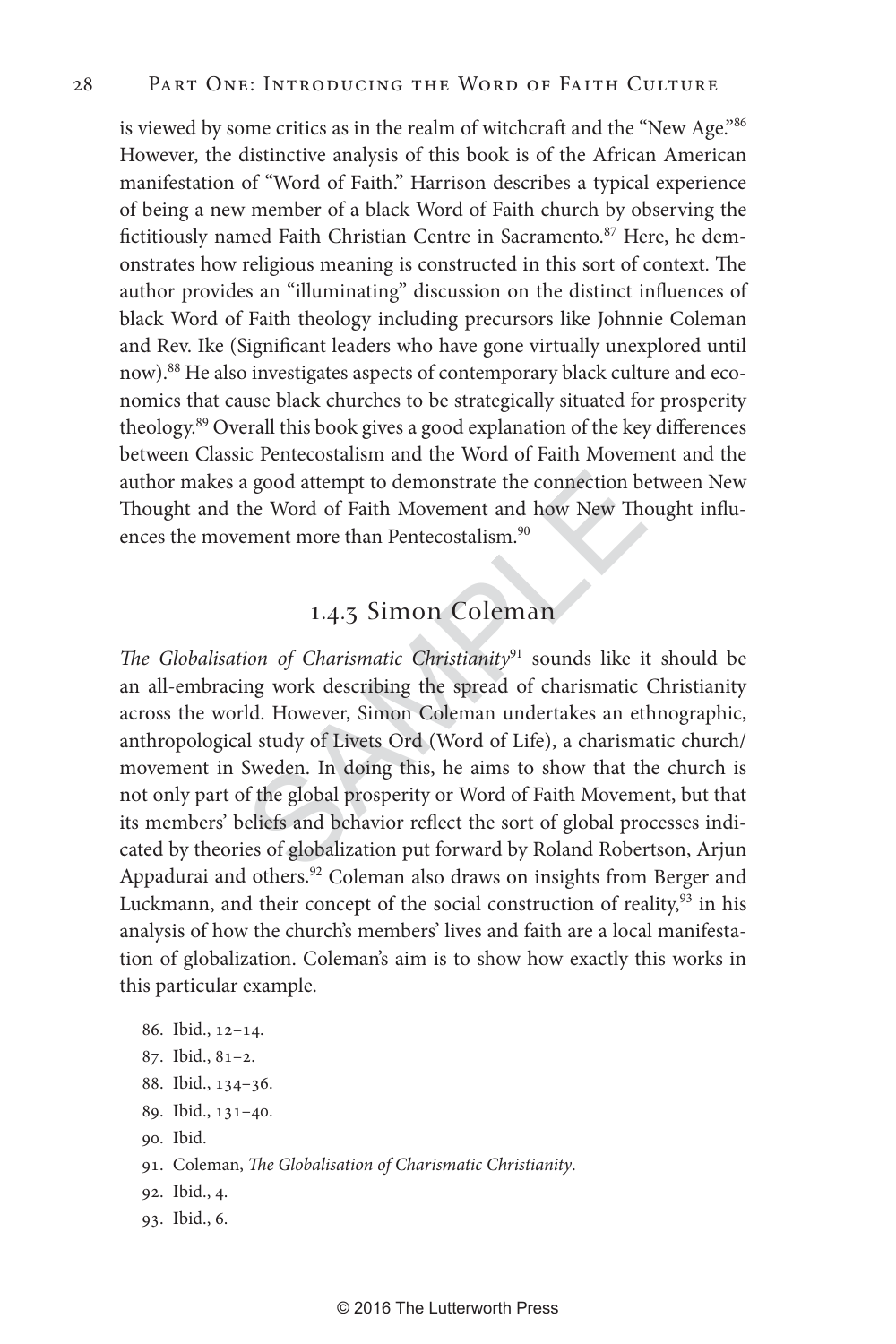is viewed by some critics as in the realm of witchcraft and the "New Age."<sup>86</sup> However, the distinctive analysis of this book is of the African American manifestation of "Word of Faith." Harrison describes a typical experience of being a new member of a black Word of Faith church by observing the fictitiously named Faith Christian Centre in Sacramento.<sup>87</sup> Here, he demonstrates how religious meaning is constructed in this sort of context. The author provides an "illuminating" discussion on the distinct influences of black Word of Faith theology including precursors like Johnnie Coleman and Rev. Ike (Significant leaders who have gone virtually unexplored until now).<sup>88</sup> He also investigates aspects of contemporary black culture and economics that cause black churches to be strategically situated for prosperity theology.89 Overall this book gives a good explanation of the key differences between Classic Pentecostalism and the Word of Faith Movement and the author makes a good attempt to demonstrate the connection between New Thought and the Word of Faith Movement and how New Thought influences the movement more than Pentecostalism.<sup>90</sup>

# 1.4.3 Simon Coleman

a good attempt to demonstrate the connection be<br>the Word of Faith Movement and how New The<br>ement more than Pentecostalism.<sup>90</sup><br>1.4.3 Simon Coleman<br>ion of Charismatic Christianity<sup>91</sup> sounds like it<br>ng work describing the s *The Globalisation of Charismatic Christianity*91 sounds like it should be an all-embracing work describing the spread of charismatic Christianity across the world. However, Simon Coleman undertakes an ethnographic, anthropological study of Livets Ord (Word of Life), a charismatic church/ movement in Sweden. In doing this, he aims to show that the church is not only part of the global prosperity or Word of Faith Movement, but that its members' beliefs and behavior reflect the sort of global processes indicated by theories of globalization put forward by Roland Robertson, Arjun Appadurai and others.<sup>92</sup> Coleman also draws on insights from Berger and Luckmann, and their concept of the social construction of reality,<sup>93</sup> in his analysis of how the church's members' lives and faith are a local manifestation of globalization. Coleman's aim is to show how exactly this works in this particular example.

- 86. Ibid., 12–14.
- 87. Ibid., 81–2.
- 88. Ibid., 134–36.
- 89. Ibid., 131–40.
- 90. Ibid.
- 91. Coleman, *The Globalisation of Charismatic Christianity*.
- 92. Ibid., 4.
- 93. Ibid., 6.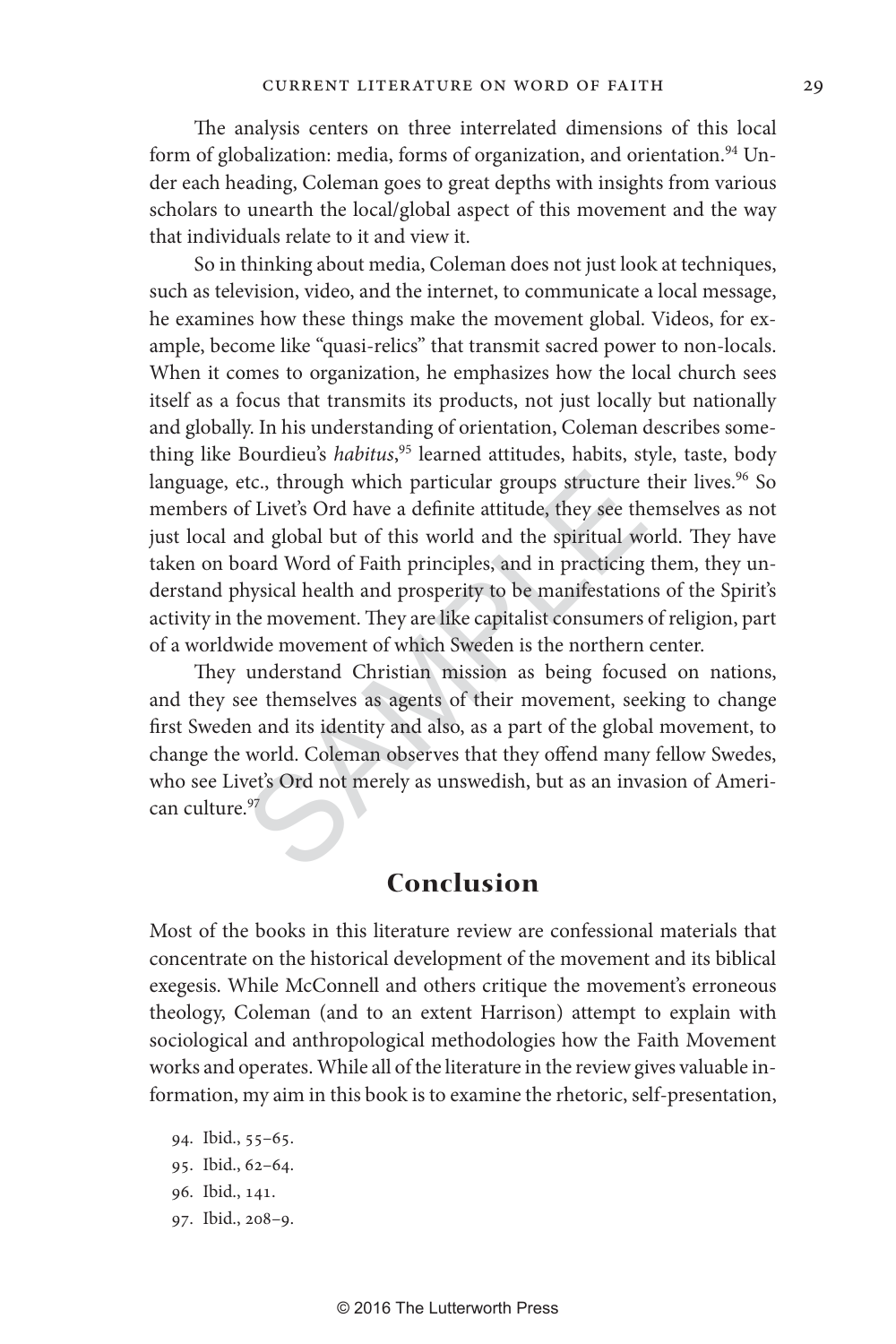The analysis centers on three interrelated dimensions of this local form of globalization: media, forms of organization, and orientation.<sup>94</sup> Under each heading, Coleman goes to great depths with insights from various scholars to unearth the local/global aspect of this movement and the way that individuals relate to it and view it.

tc., through which particular groups structure<br>of Livet's Ord have a definite attitude, they see the<br>nd global but of this world and the spiritual wo<br>oard Word of Faith principles, and in practicing<br>hysical health and pros So in thinking about media, Coleman does not just look at techniques, such as television, video, and the internet, to communicate a local message, he examines how these things make the movement global. Videos, for example, become like "quasi-relics" that transmit sacred power to non-locals. When it comes to organization, he emphasizes how the local church sees itself as a focus that transmits its products, not just locally but nationally and globally. In his understanding of orientation, Coleman describes something like Bourdieu's *habitus*, 95 learned attitudes, habits, style, taste, body language, etc., through which particular groups structure their lives.<sup>96</sup> So members of Livet's Ord have a definite attitude, they see themselves as not just local and global but of this world and the spiritual world. They have taken on board Word of Faith principles, and in practicing them, they understand physical health and prosperity to be manifestations of the Spirit's activity in the movement. They are like capitalist consumers of religion, part of a worldwide movement of which Sweden is the northern center.

They understand Christian mission as being focused on nations, and they see themselves as agents of their movement, seeking to change first Sweden and its identity and also, as a part of the global movement, to change the world. Coleman observes that they offend many fellow Swedes, who see Livet's Ord not merely as unswedish, but as an invasion of American culture.<sup>97</sup>

### **Conclusion**

Most of the books in this literature review are confessional materials that concentrate on the historical development of the movement and its biblical exegesis. While McConnell and others critique the movement's erroneous theology, Coleman (and to an extent Harrison) attempt to explain with sociological and anthropological methodologies how the Faith Movement works and operates. While all of the literature in the review gives valuable information, my aim in this book is to examine the rhetoric, self-presentation,

94. Ibid., 55–65. 95. Ibid., 62–64. 96. Ibid., 141. 97. Ibid., 208–9.